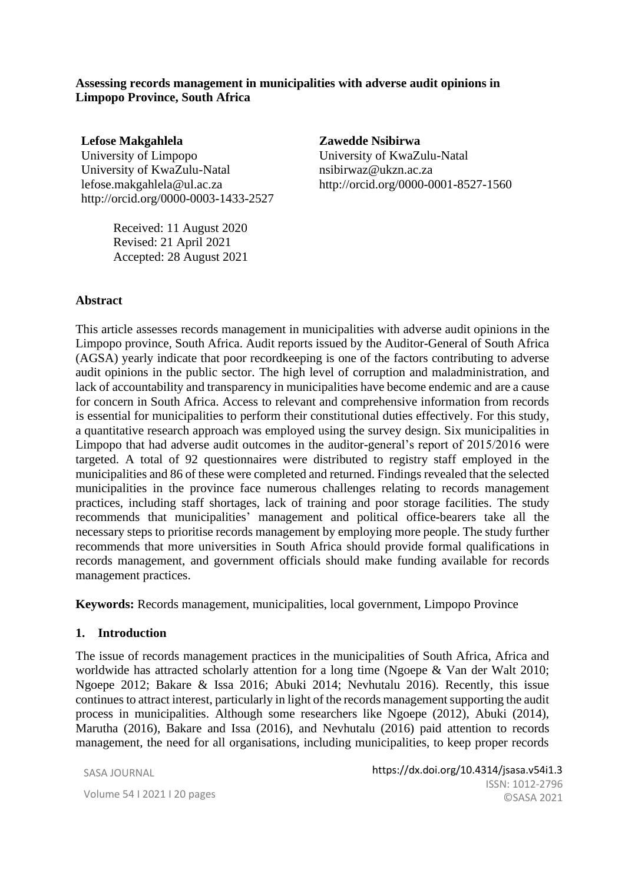#### **Assessing records management in municipalities with adverse audit opinions in Limpopo Province, South Africa**

**Lefose Makgahlela** University of Limpopo University of KwaZulu-Natal lefose.makgahlela@ul.ac.za http://orcid.org/0000-0003-1433-2527

> Received: 11 August 2020 Revised: 21 April 2021 Accepted: 28 August 2021

**Zawedde Nsibirwa** University of KwaZulu-Natal nsibirwaz@ukzn.ac.za http://orcid.org/0000-0001-8527-1560

#### **Abstract**

This article assesses records management in municipalities with adverse audit opinions in the Limpopo province, South Africa. Audit reports issued by the Auditor-General of South Africa (AGSA) yearly indicate that poor recordkeeping is one of the factors contributing to adverse audit opinions in the public sector. The high level of corruption and maladministration, and lack of accountability and transparency in municipalities have become endemic and are a cause for concern in South Africa. Access to relevant and comprehensive information from records is essential for municipalities to perform their constitutional duties effectively. For this study, a quantitative research approach was employed using the survey design. Six municipalities in Limpopo that had adverse audit outcomes in the auditor-general's report of 2015/2016 were targeted. A total of 92 questionnaires were distributed to registry staff employed in the municipalities and 86 of these were completed and returned. Findings revealed that the selected municipalities in the province face numerous challenges relating to records management practices, including staff shortages, lack of training and poor storage facilities. The study recommends that municipalities' management and political office-bearers take all the necessary steps to prioritise records management by employing more people. The study further recommends that more universities in South Africa should provide formal qualifications in records management, and government officials should make funding available for records management practices.

**Keywords:** Records management, municipalities, local government, Limpopo Province

#### **1. Introduction**

The issue of records management practices in the municipalities of South Africa, Africa and worldwide has attracted scholarly attention for a long time (Ngoepe & Van der Walt 2010; Ngoepe 2012; Bakare & Issa 2016; Abuki 2014; Nevhutalu 2016). Recently, this issue continues to attract interest, particularly in light of the records management supporting the audit process in municipalities. Although some researchers like Ngoepe (2012), Abuki (2014), Marutha (2016), Bakare and Issa (2016), and Nevhutalu (2016) paid attention to records management, the need for all organisations, including municipalities, to keep proper records

SASA JOURNAL

Volume 54 I 2021 I 20 pages and society of archivists, volume 54 I 2021 I 20 pages https://dx.doi.org/10.4314/jsasa.v54i1.3 ISSN: 1012-2796 ©SASA 2021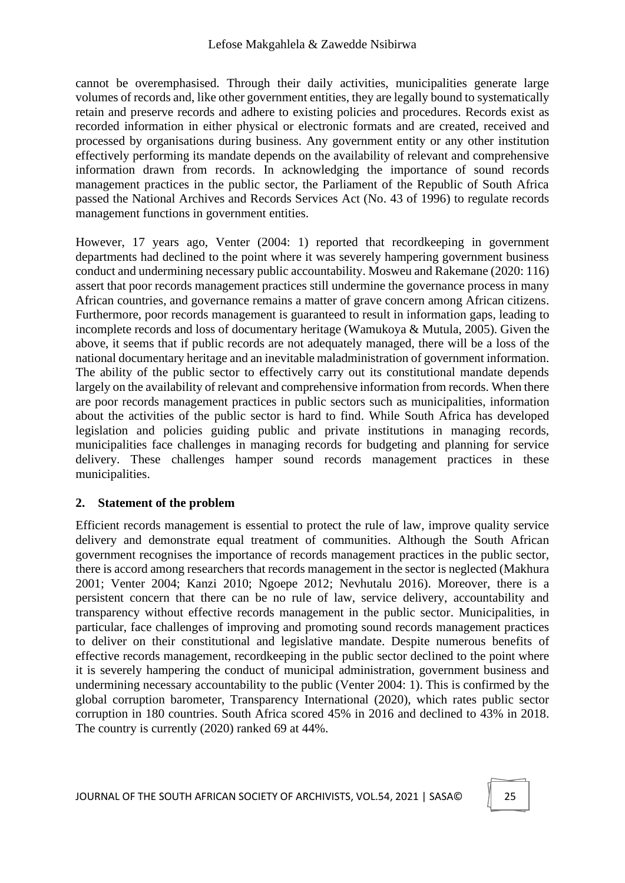cannot be overemphasised. Through their daily activities, municipalities generate large volumes of records and, like other government entities, they are legally bound to systematically retain and preserve records and adhere to existing policies and procedures. Records exist as recorded information in either physical or electronic formats and are created, received and processed by organisations during business. Any government entity or any other institution effectively performing its mandate depends on the availability of relevant and comprehensive information drawn from records. In acknowledging the importance of sound records management practices in the public sector, the Parliament of the Republic of South Africa passed the National Archives and Records Services Act (No. 43 of 1996) to regulate records management functions in government entities.

However, 17 years ago, Venter (2004: 1) reported that recordkeeping in government departments had declined to the point where it was severely hampering government business conduct and undermining necessary public accountability. Mosweu and Rakemane (2020: 116) assert that poor records management practices still undermine the governance process in many African countries, and governance remains a matter of grave concern among African citizens. Furthermore, poor records management is guaranteed to result in information gaps, leading to incomplete records and loss of documentary heritage (Wamukoya & Mutula, 2005). Given the above, it seems that if public records are not adequately managed, there will be a loss of the national documentary heritage and an inevitable maladministration of government information. The ability of the public sector to effectively carry out its constitutional mandate depends largely on the availability of relevant and comprehensive information from records. When there are poor records management practices in public sectors such as municipalities, information about the activities of the public sector is hard to find. While South Africa has developed legislation and policies guiding public and private institutions in managing records, municipalities face challenges in managing records for budgeting and planning for service delivery. These challenges hamper sound records management practices in these municipalities.

# **2. Statement of the problem**

Efficient records management is essential to protect the rule of law, improve quality service delivery and demonstrate equal treatment of communities. Although the South African government recognises the importance of records management practices in the public sector, there is accord among researchers that records management in the sector is neglected (Makhura 2001; Venter 2004; Kanzi 2010; Ngoepe 2012; Nevhutalu 2016). Moreover, there is a persistent concern that there can be no rule of law, service delivery, accountability and transparency without effective records management in the public sector. Municipalities, in particular, face challenges of improving and promoting sound records management practices to deliver on their constitutional and legislative mandate. Despite numerous benefits of effective records management, recordkeeping in the public sector declined to the point where it is severely hampering the conduct of municipal administration, government business and undermining necessary accountability to the public (Venter 2004: 1). This is confirmed by the global corruption barometer, Transparency International (2020), which rates public sector corruption in 180 countries. South Africa scored 45% in 2016 and declined to 43% in 2018. The country is currently (2020) ranked 69 at 44%.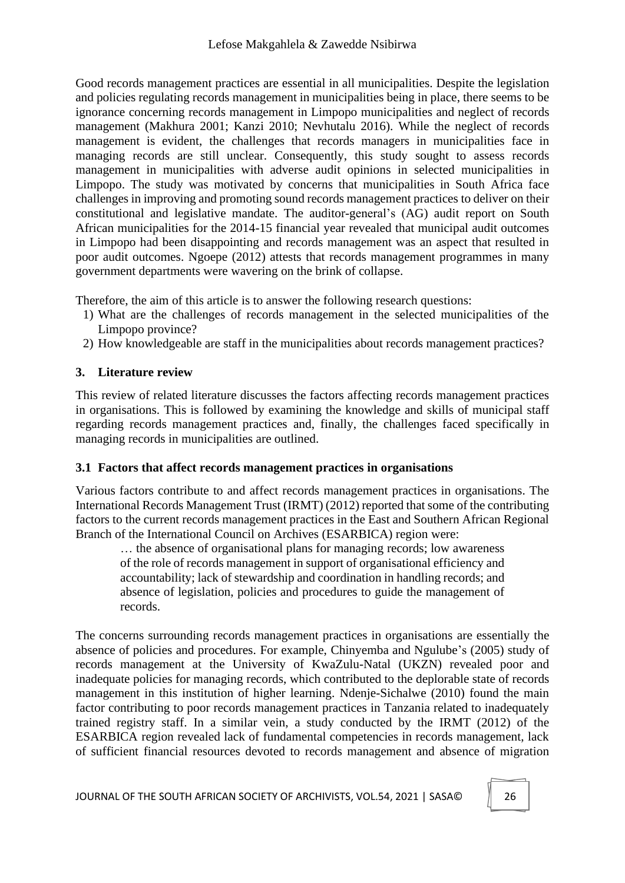Good records management practices are essential in all municipalities. Despite the legislation and policies regulating records management in municipalities being in place, there seems to be ignorance concerning records management in Limpopo municipalities and neglect of records management (Makhura 2001; Kanzi 2010; Nevhutalu 2016). While the neglect of records management is evident, the challenges that records managers in municipalities face in managing records are still unclear. Consequently, this study sought to assess records management in municipalities with adverse audit opinions in selected municipalities in Limpopo. The study was motivated by concerns that municipalities in South Africa face challenges in improving and promoting sound records management practices to deliver on their constitutional and legislative mandate. The auditor-general's (AG) audit report on South African municipalities for the 2014-15 financial year revealed that municipal audit outcomes in Limpopo had been disappointing and records management was an aspect that resulted in poor audit outcomes. Ngoepe (2012) attests that records management programmes in many government departments were wavering on the brink of collapse.

Therefore, the aim of this article is to answer the following research questions:

- 1) What are the challenges of records management in the selected municipalities of the Limpopo province?
- 2) How knowledgeable are staff in the municipalities about records management practices?

## **3. Literature review**

This review of related literature discusses the factors affecting records management practices in organisations. This is followed by examining the knowledge and skills of municipal staff regarding records management practices and, finally, the challenges faced specifically in managing records in municipalities are outlined.

### **3.1 Factors that affect records management practices in organisations**

Various factors contribute to and affect records management practices in organisations. The International Records Management Trust (IRMT) (2012) reported that some of the contributing factors to the current records management practices in the East and Southern African Regional Branch of the International Council on Archives (ESARBICA) region were:

… the absence of organisational plans for managing records; low awareness of the role of records management in support of organisational efficiency and accountability; lack of stewardship and coordination in handling records; and absence of legislation, policies and procedures to guide the management of records.

The concerns surrounding records management practices in organisations are essentially the absence of policies and procedures. For example, Chinyemba and Ngulube's (2005) study of records management at the University of KwaZulu-Natal (UKZN) revealed poor and inadequate policies for managing records, which contributed to the deplorable state of records management in this institution of higher learning. Ndenje-Sichalwe (2010) found the main factor contributing to poor records management practices in Tanzania related to inadequately trained registry staff. In a similar vein, a study conducted by the IRMT (2012) of the ESARBICA region revealed lack of fundamental competencies in records management, lack of sufficient financial resources devoted to records management and absence of migration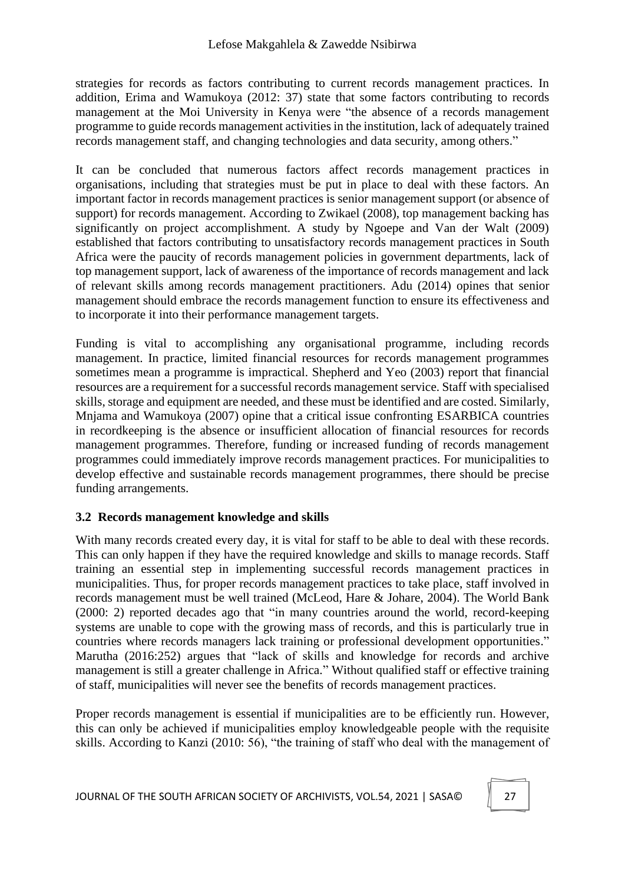strategies for records as factors contributing to current records management practices. In addition, Erima and Wamukoya (2012: 37) state that some factors contributing to records management at the Moi University in Kenya were "the absence of a records management programme to guide records management activities in the institution, lack of adequately trained records management staff, and changing technologies and data security, among others."

It can be concluded that numerous factors affect records management practices in organisations, including that strategies must be put in place to deal with these factors. An important factor in records management practices is senior management support (or absence of support) for records management. According to Zwikael (2008), top management backing has significantly on project accomplishment. A study by Ngoepe and Van der Walt (2009) established that factors contributing to unsatisfactory records management practices in South Africa were the paucity of records management policies in government departments, lack of top management support, lack of awareness of the importance of records management and lack of relevant skills among records management practitioners. Adu (2014) opines that senior management should embrace the records management function to ensure its effectiveness and to incorporate it into their performance management targets.

Funding is vital to accomplishing any organisational programme, including records management. In practice, limited financial resources for records management programmes sometimes mean a programme is impractical. Shepherd and Yeo (2003) report that financial resources are a requirement for a successful records management service. Staff with specialised skills, storage and equipment are needed, and these must be identified and are costed. Similarly, Mnjama and Wamukoya (2007) opine that a critical issue confronting ESARBICA countries in recordkeeping is the absence or insufficient allocation of financial resources for records management programmes. Therefore, funding or increased funding of records management programmes could immediately improve records management practices. For municipalities to develop effective and sustainable records management programmes, there should be precise funding arrangements.

# **3.2 Records management knowledge and skills**

With many records created every day, it is vital for staff to be able to deal with these records. This can only happen if they have the required knowledge and skills to manage records. Staff training an essential step in implementing successful records management practices in municipalities. Thus, for proper records management practices to take place, staff involved in records management must be well trained (McLeod, Hare & Johare, 2004). The World Bank (2000: 2) reported decades ago that "in many countries around the world, record-keeping systems are unable to cope with the growing mass of records, and this is particularly true in countries where records managers lack training or professional development opportunities." Marutha (2016:252) argues that "lack of skills and knowledge for records and archive management is still a greater challenge in Africa." Without qualified staff or effective training of staff, municipalities will never see the benefits of records management practices.

Proper records management is essential if municipalities are to be efficiently run. However, this can only be achieved if municipalities employ knowledgeable people with the requisite skills. According to Kanzi (2010: 56), "the training of staff who deal with the management of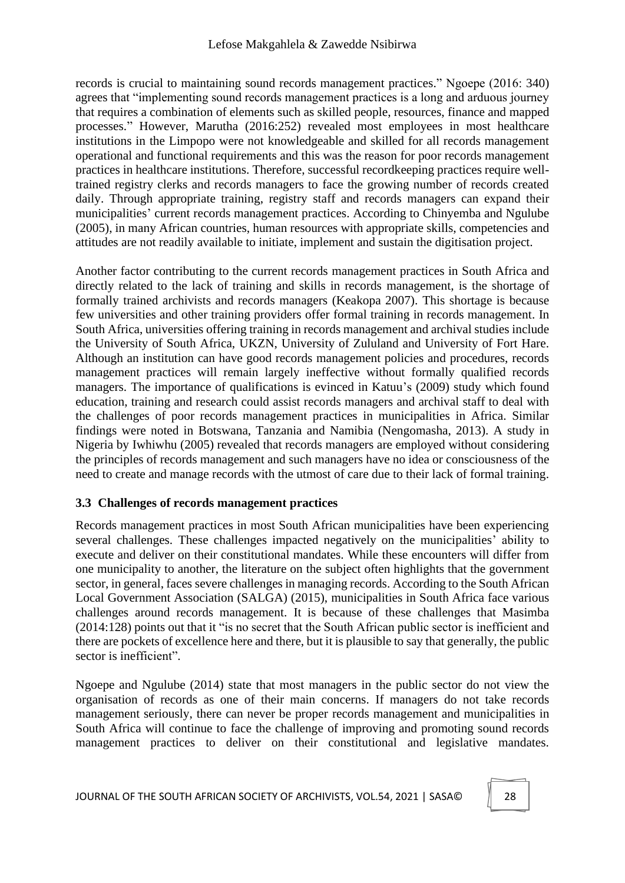#### Lefose Makgahlela & Zawedde Nsibirwa

records is crucial to maintaining sound records management practices." Ngoepe (2016: 340) agrees that "implementing sound records management practices is a long and arduous journey that requires a combination of elements such as skilled people, resources, finance and mapped processes." However, Marutha (2016:252) revealed most employees in most healthcare institutions in the Limpopo were not knowledgeable and skilled for all records management operational and functional requirements and this was the reason for poor records management practices in healthcare institutions. Therefore, successful recordkeeping practices require welltrained registry clerks and records managers to face the growing number of records created daily. Through appropriate training, registry staff and records managers can expand their municipalities' current records management practices. According to Chinyemba and Ngulube (2005), in many African countries, human resources with appropriate skills, competencies and attitudes are not readily available to initiate, implement and sustain the digitisation project.

Another factor contributing to the current records management practices in South Africa and directly related to the lack of training and skills in records management, is the shortage of formally trained archivists and records managers (Keakopa 2007). This shortage is because few universities and other training providers offer formal training in records management. In South Africa, universities offering training in records management and archival studies include the University of South Africa, UKZN, University of Zululand and University of Fort Hare. Although an institution can have good records management policies and procedures, records management practices will remain largely ineffective without formally qualified records managers. The importance of qualifications is evinced in Katuu's (2009) study which found education, training and research could assist records managers and archival staff to deal with the challenges of poor records management practices in municipalities in Africa. Similar findings were noted in Botswana, Tanzania and Namibia (Nengomasha, 2013). A study in Nigeria by Iwhiwhu (2005) revealed that records managers are employed without considering the principles of records management and such managers have no idea or consciousness of the need to create and manage records with the utmost of care due to their lack of formal training.

### **3.3 Challenges of records management practices**

Records management practices in most South African municipalities have been experiencing several challenges. These challenges impacted negatively on the municipalities' ability to execute and deliver on their constitutional mandates. While these encounters will differ from one municipality to another, the literature on the subject often highlights that the government sector, in general, faces severe challenges in managing records. According to the South African Local Government Association (SALGA) (2015), municipalities in South Africa face various challenges around records management. It is because of these challenges that Masimba (2014:128) points out that it "is no secret that the South African public sector is inefficient and there are pockets of excellence here and there, but it is plausible to say that generally, the public sector is inefficient".

Ngoepe and Ngulube (2014) state that most managers in the public sector do not view the organisation of records as one of their main concerns. If managers do not take records management seriously, there can never be proper records management and municipalities in South Africa will continue to face the challenge of improving and promoting sound records management practices to deliver on their constitutional and legislative mandates.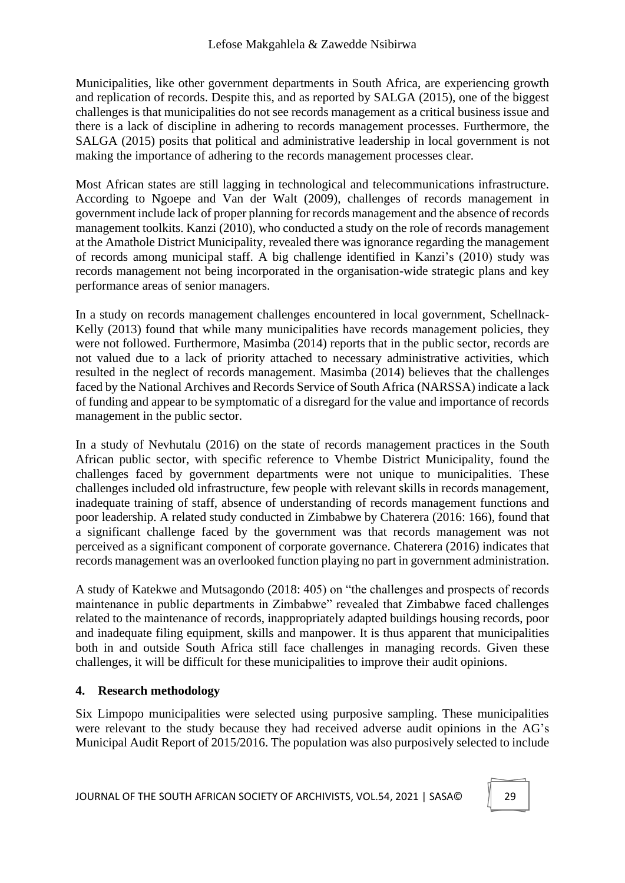Municipalities, like other government departments in South Africa, are experiencing growth and replication of records. Despite this, and as reported by SALGA (2015), one of the biggest challenges is that municipalities do not see records management as a critical business issue and there is a lack of discipline in adhering to records management processes. Furthermore, the SALGA (2015) posits that political and administrative leadership in local government is not making the importance of adhering to the records management processes clear.

Most African states are still lagging in technological and telecommunications infrastructure. According to Ngoepe and Van der Walt (2009), challenges of records management in government include lack of proper planning for records management and the absence of records management toolkits. Kanzi (2010), who conducted a study on the role of records management at the Amathole District Municipality, revealed there was ignorance regarding the management of records among municipal staff. A big challenge identified in Kanzi's (2010) study was records management not being incorporated in the organisation-wide strategic plans and key performance areas of senior managers.

In a study on records management challenges encountered in local government, Schellnack-Kelly (2013) found that while many municipalities have records management policies, they were not followed. Furthermore, Masimba (2014) reports that in the public sector, records are not valued due to a lack of priority attached to necessary administrative activities, which resulted in the neglect of records management. Masimba (2014) believes that the challenges faced by the National Archives and Records Service of South Africa (NARSSA) indicate a lack of funding and appear to be symptomatic of a disregard for the value and importance of records management in the public sector.

In a study of Nevhutalu (2016) on the state of records management practices in the South African public sector, with specific reference to Vhembe District Municipality, found the challenges faced by government departments were not unique to municipalities. These challenges included old infrastructure, few people with relevant skills in records management, inadequate training of staff, absence of understanding of records management functions and poor leadership. A related study conducted in Zimbabwe by Chaterera (2016: 166), found that a significant challenge faced by the government was that records management was not perceived as a significant component of corporate governance. Chaterera (2016) indicates that records management was an overlooked function playing no part in government administration.

A study of Katekwe and Mutsagondo (2018: 405) on "the challenges and prospects of records maintenance in public departments in Zimbabwe" revealed that Zimbabwe faced challenges related to the maintenance of records, inappropriately adapted buildings housing records, poor and inadequate filing equipment, skills and manpower. It is thus apparent that municipalities both in and outside South Africa still face challenges in managing records. Given these challenges, it will be difficult for these municipalities to improve their audit opinions.

# **4. Research methodology**

Six Limpopo municipalities were selected using purposive sampling. These municipalities were relevant to the study because they had received adverse audit opinions in the AG's Municipal Audit Report of 2015/2016. The population was also purposively selected to include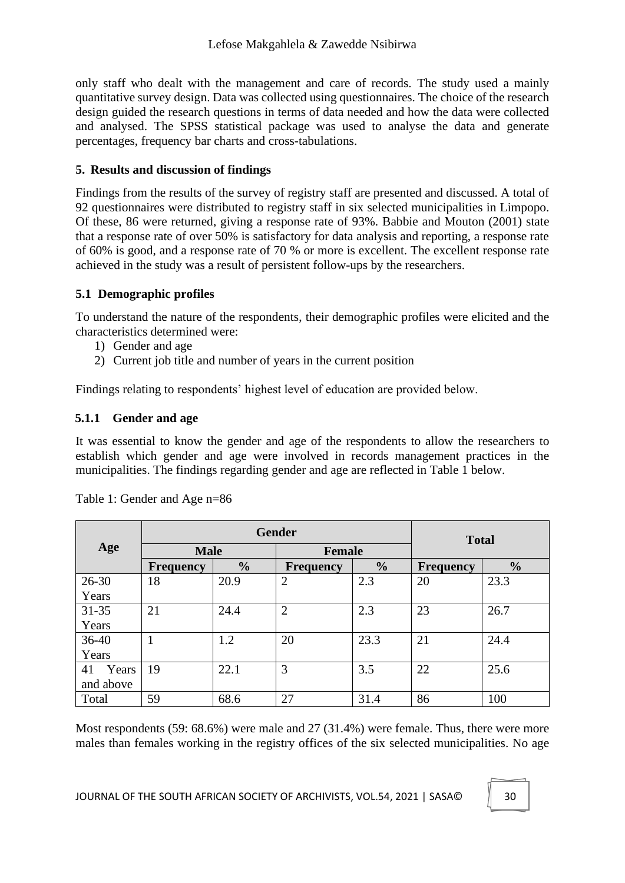only staff who dealt with the management and care of records. The study used a mainly quantitative survey design. Data was collected using questionnaires. The choice of the research design guided the research questions in terms of data needed and how the data were collected and analysed. The SPSS statistical package was used to analyse the data and generate percentages, frequency bar charts and cross-tabulations.

### **5. Results and discussion of findings**

Findings from the results of the survey of registry staff are presented and discussed. A total of 92 questionnaires were distributed to registry staff in six selected municipalities in Limpopo. Of these, 86 were returned, giving a response rate of 93%. Babbie and Mouton (2001) state that a response rate of over 50% is satisfactory for data analysis and reporting, a response rate of 60% is good, and a response rate of 70 % or more is excellent. The excellent response rate achieved in the study was a result of persistent follow-ups by the researchers.

## **5.1 Demographic profiles**

To understand the nature of the respondents, their demographic profiles were elicited and the characteristics determined were:

- 1) Gender and age
- 2) Current job title and number of years in the current position

Findings relating to respondents' highest level of education are provided below.

## **5.1.1 Gender and age**

It was essential to know the gender and age of the respondents to allow the researchers to establish which gender and age were involved in records management practices in the municipalities. The findings regarding gender and age are reflected in Table 1 below.

|             |                  | <b>Gender</b> | <b>Total</b>   |               |                  |               |
|-------------|------------------|---------------|----------------|---------------|------------------|---------------|
| Age         | <b>Male</b>      |               |                |               | <b>Female</b>    |               |
|             | <b>Frequency</b> | $\frac{1}{2}$ | Frequency      | $\frac{0}{0}$ | <b>Frequency</b> | $\frac{0}{0}$ |
| $26 - 30$   | 18               | 20.9          | $\overline{2}$ | 2.3           | 20               | 23.3          |
| Years       |                  |               |                |               |                  |               |
| $31 - 35$   | 21               | 24.4          | $\overline{2}$ | 2.3           | 23               | 26.7          |
| Years       |                  |               |                |               |                  |               |
| $36 - 40$   |                  | 1.2           | 20             | 23.3          | 21               | 24.4          |
| Years       |                  |               |                |               |                  |               |
| Years<br>41 | 19               | 22.1          | 3              | 3.5           | 22               | 25.6          |
| and above   |                  |               |                |               |                  |               |
| Total       | 59               | 68.6          | 27             | 31.4          | 86               | 100           |

|  |  | Table 1: Gender and Age n=86 |  |  |  |
|--|--|------------------------------|--|--|--|
|--|--|------------------------------|--|--|--|

Most respondents (59: 68.6%) were male and 27 (31.4%) were female. Thus, there were more males than females working in the registry offices of the six selected municipalities. No age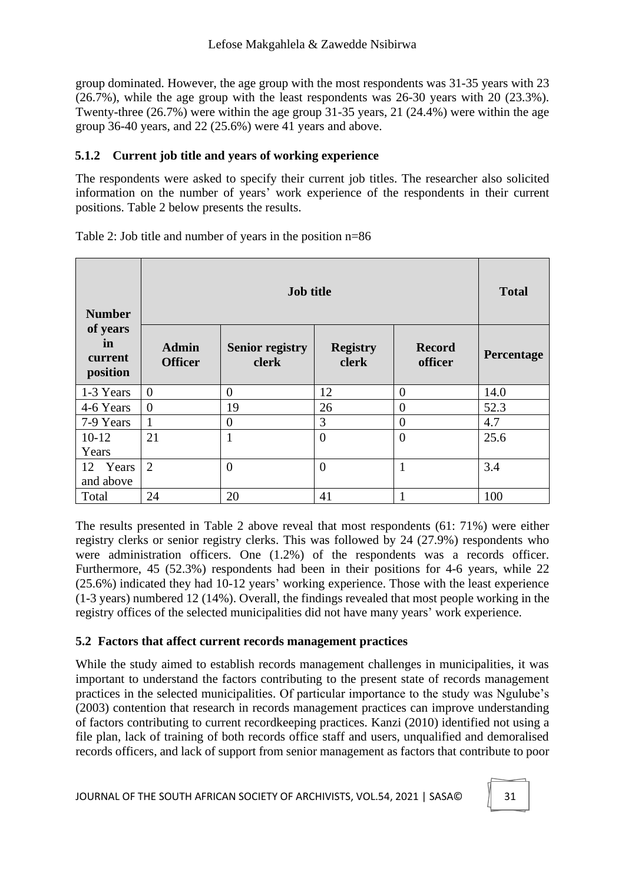group dominated. However, the age group with the most respondents was 31-35 years with 23 (26.7%), while the age group with the least respondents was 26-30 years with 20 (23.3%). Twenty-three (26.7%) were within the age group 31-35 years, 21 (24.4%) were within the age group 36-40 years, and 22 (25.6%) were 41 years and above.

## **5.1.2 Current job title and years of working experience**

The respondents were asked to specify their current job titles. The researcher also solicited information on the number of years' work experience of the respondents in their current positions. Table 2 below presents the results.

| <b>Number</b>                         |                                | <b>Total</b>                    |                          |                          |            |
|---------------------------------------|--------------------------------|---------------------------------|--------------------------|--------------------------|------------|
| of years<br>in<br>current<br>position | <b>Admin</b><br><b>Officer</b> | <b>Senior registry</b><br>clerk | <b>Registry</b><br>clerk | <b>Record</b><br>officer | Percentage |
| 1-3 Years                             | $\overline{0}$                 | $\overline{0}$                  | 12                       | $\overline{0}$           | 14.0       |
| 4-6 Years                             | $\overline{0}$                 | 19                              | 26                       | $\overline{0}$           | 52.3       |
| 7-9 Years                             |                                | $\theta$                        | 3                        | $\overline{0}$           | 4.7        |
| $10-12$                               | 21                             | $\mathbf{1}$                    | $\theta$                 | $\theta$                 | 25.6       |
| Years                                 |                                |                                 |                          |                          |            |
| 12 Years                              | 2                              | $\overline{0}$                  | $\overline{0}$           | $\mathbf{1}$             | 3.4        |
| and above                             |                                |                                 |                          |                          |            |
| Total                                 | 24                             | 20                              | 41                       | 1                        | 100        |

Table 2: Job title and number of years in the position n=86

The results presented in Table 2 above reveal that most respondents (61: 71%) were either registry clerks or senior registry clerks. This was followed by 24 (27.9%) respondents who were administration officers. One (1.2%) of the respondents was a records officer. Furthermore, 45 (52.3%) respondents had been in their positions for 4-6 years, while 22 (25.6%) indicated they had 10-12 years' working experience. Those with the least experience (1-3 years) numbered 12 (14%). Overall, the findings revealed that most people working in the registry offices of the selected municipalities did not have many years' work experience.

### **5.2 Factors that affect current records management practices**

While the study aimed to establish records management challenges in municipalities, it was important to understand the factors contributing to the present state of records management practices in the selected municipalities. Of particular importance to the study was Ngulube's (2003) contention that research in records management practices can improve understanding of factors contributing to current recordkeeping practices. Kanzi (2010) identified not using a file plan, lack of training of both records office staff and users, unqualified and demoralised records officers, and lack of support from senior management as factors that contribute to poor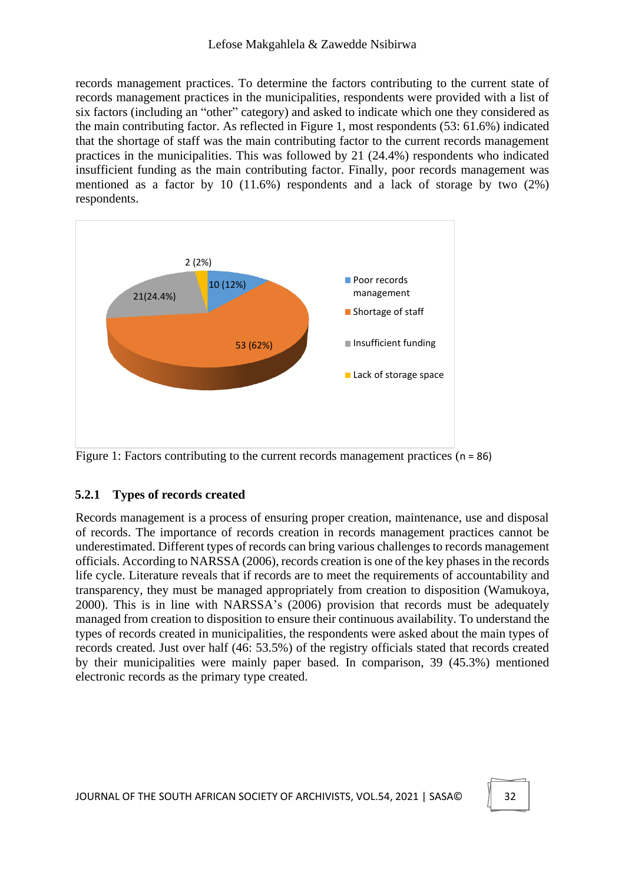records management practices. To determine the factors contributing to the current state of records management practices in the municipalities, respondents were provided with a list of six factors (including an "other" category) and asked to indicate which one they considered as the main contributing factor. As reflected in Figure 1, most respondents (53: 61.6%) indicated that the shortage of staff was the main contributing factor to the current records management practices in the municipalities. This was followed by 21 (24.4%) respondents who indicated insufficient funding as the main contributing factor. Finally, poor records management was mentioned as a factor by 10 (11.6%) respondents and a lack of storage by two (2%) respondents.



Figure 1: Factors contributing to the current records management practices (n = 86)

# **5.2.1 Types of records created**

Records management is a process of ensuring proper creation, maintenance, use and disposal of records. The importance of records creation in records management practices cannot be underestimated. Different types of records can bring various challenges to records management officials. According to NARSSA (2006), records creation is one of the key phases in the records life cycle. Literature reveals that if records are to meet the requirements of accountability and transparency, they must be managed appropriately from creation to disposition (Wamukoya, 2000). This is in line with NARSSA's (2006) provision that records must be adequately managed from creation to disposition to ensure their continuous availability. To understand the types of records created in municipalities, the respondents were asked about the main types of records created. Just over half (46: 53.5%) of the registry officials stated that records created by their municipalities were mainly paper based. In comparison, 39 (45.3%) mentioned electronic records as the primary type created.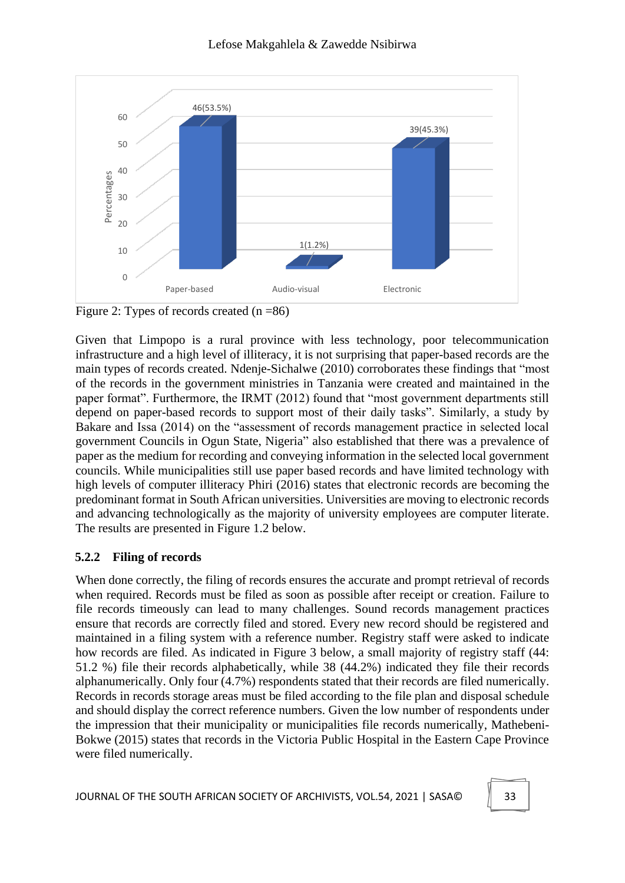

Figure 2: Types of records created  $(n = 86)$ 

Given that Limpopo is a rural province with less technology, poor telecommunication infrastructure and a high level of illiteracy, it is not surprising that paper-based records are the main types of records created. Ndenje-Sichalwe (2010) corroborates these findings that "most of the records in the government ministries in Tanzania were created and maintained in the paper format". Furthermore, the IRMT (2012) found that "most government departments still depend on paper-based records to support most of their daily tasks". Similarly, a study by Bakare and Issa (2014) on the "assessment of records management practice in selected local government Councils in Ogun State, Nigeria" also established that there was a prevalence of paper as the medium for recording and conveying information in the selected local government councils. While municipalities still use paper based records and have limited technology with high levels of computer illiteracy Phiri (2016) states that electronic records are becoming the predominant format in South African universities. Universities are moving to electronic records and advancing technologically as the majority of university employees are computer literate. The results are presented in Figure 1.2 below.

# **5.2.2 Filing of records**

When done correctly, the filing of records ensures the accurate and prompt retrieval of records when required. Records must be filed as soon as possible after receipt or creation. Failure to file records timeously can lead to many challenges. Sound records management practices ensure that records are correctly filed and stored. Every new record should be registered and maintained in a filing system with a reference number. Registry staff were asked to indicate how records are filed. As indicated in Figure 3 below, a small majority of registry staff (44: 51.2 %) file their records alphabetically, while 38 (44.2%) indicated they file their records alphanumerically. Only four (4.7%) respondents stated that their records are filed numerically. Records in records storage areas must be filed according to the file plan and disposal schedule and should display the correct reference numbers. Given the low number of respondents under the impression that their municipality or municipalities file records numerically, Mathebeni-Bokwe (2015) states that records in the Victoria Public Hospital in the Eastern Cape Province were filed numerically.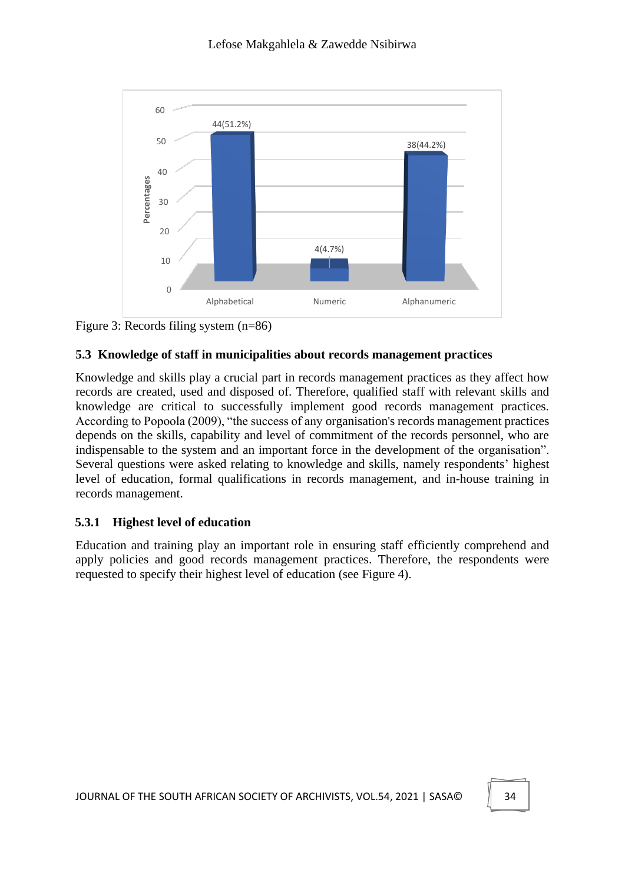



## **5.3 Knowledge of staff in municipalities about records management practices**

Knowledge and skills play a crucial part in records management practices as they affect how records are created, used and disposed of. Therefore, qualified staff with relevant skills and knowledge are critical to successfully implement good records management practices. According to Popoola (2009), "the success of any organisation's records management practices depends on the skills, capability and level of commitment of the records personnel, who are indispensable to the system and an important force in the development of the organisation". Several questions were asked relating to knowledge and skills, namely respondents' highest level of education, formal qualifications in records management, and in-house training in records management.

# **5.3.1 Highest level of education**

Education and training play an important role in ensuring staff efficiently comprehend and apply policies and good records management practices. Therefore, the respondents were requested to specify their highest level of education (see Figure 4).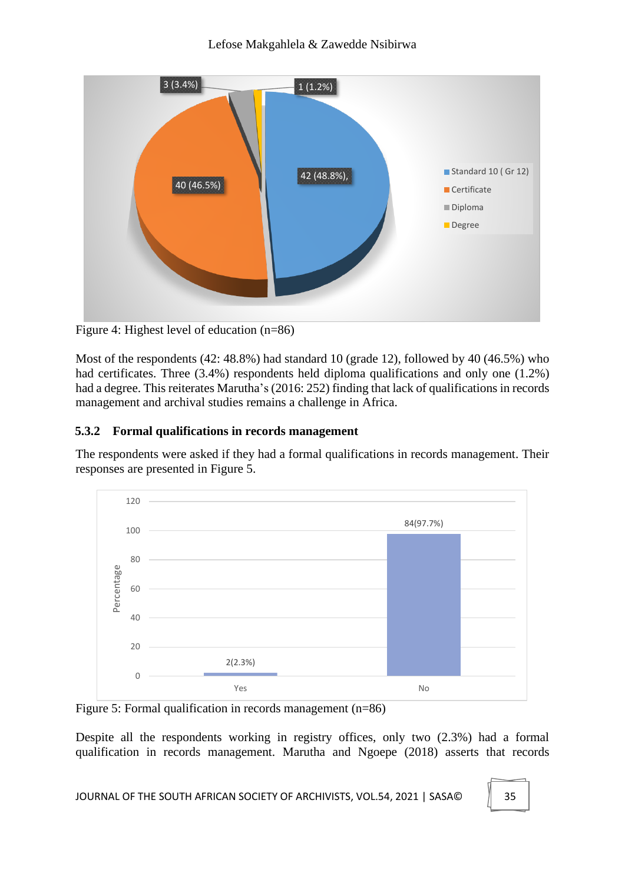### Lefose Makgahlela & Zawedde Nsibirwa



Figure 4: Highest level of education (n=86)

Most of the respondents (42: 48.8%) had standard 10 (grade 12), followed by 40 (46.5%) who had certificates. Three (3.4%) respondents held diploma qualifications and only one (1.2%) had a degree. This reiterates Marutha's (2016: 252) finding that lack of qualifications in records management and archival studies remains a challenge in Africa.

# **5.3.2 Formal qualifications in records management**

The respondents were asked if they had a formal qualifications in records management. Their responses are presented in Figure 5.



Figure 5: Formal qualification in records management (n=86)

Despite all the respondents working in registry offices, only two (2.3%) had a formal qualification in records management. Marutha and Ngoepe (2018) asserts that records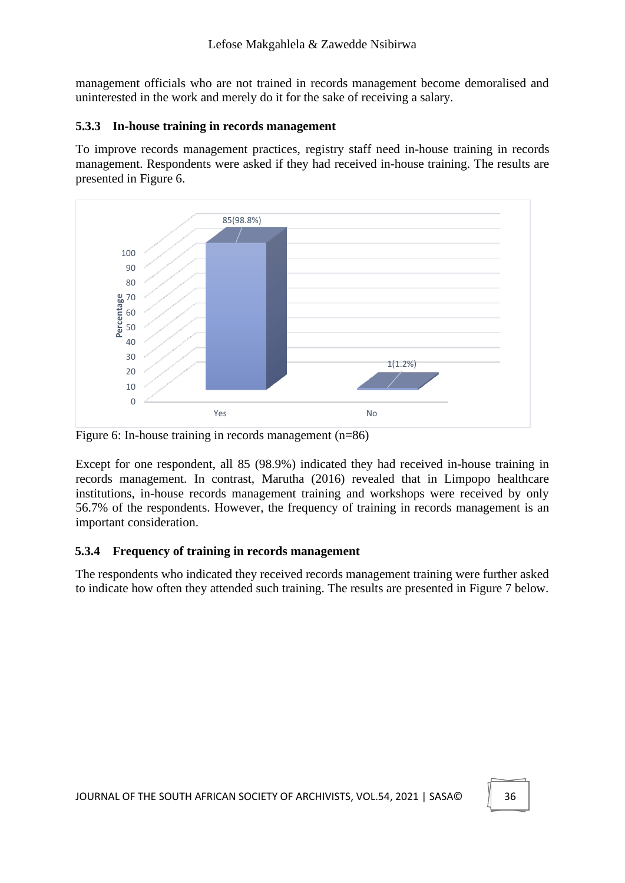management officials who are not trained in records management become demoralised and uninterested in the work and merely do it for the sake of receiving a salary.

#### **5.3.3 In-house training in records management**

To improve records management practices, registry staff need in-house training in records management. Respondents were asked if they had received in-house training. The results are presented in Figure 6.



Figure 6: In-house training in records management (n=86)

Except for one respondent, all 85 (98.9%) indicated they had received in-house training in records management. In contrast, Marutha (2016) revealed that in Limpopo healthcare institutions, in-house records management training and workshops were received by only 56.7% of the respondents. However, the frequency of training in records management is an important consideration.

### **5.3.4 Frequency of training in records management**

The respondents who indicated they received records management training were further asked to indicate how often they attended such training. The results are presented in Figure 7 below.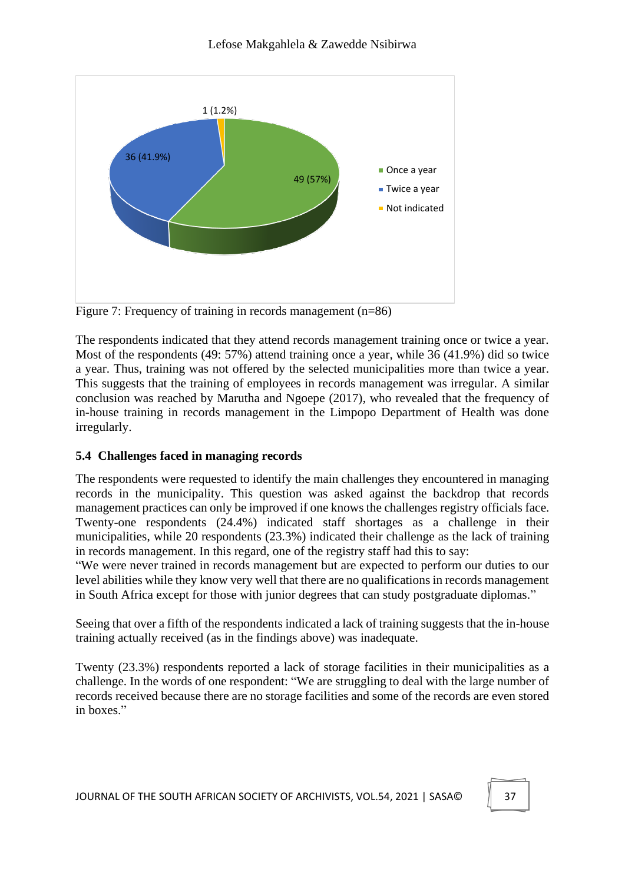

Figure 7: Frequency of training in records management (n=86)

The respondents indicated that they attend records management training once or twice a year. Most of the respondents (49: 57%) attend training once a year, while 36 (41.9%) did so twice a year. Thus, training was not offered by the selected municipalities more than twice a year. This suggests that the training of employees in records management was irregular. A similar conclusion was reached by Marutha and Ngoepe (2017), who revealed that the frequency of in-house training in records management in the Limpopo Department of Health was done irregularly.

# **5.4 Challenges faced in managing records**

The respondents were requested to identify the main challenges they encountered in managing records in the municipality. This question was asked against the backdrop that records management practices can only be improved if one knows the challenges registry officials face. Twenty-one respondents (24.4%) indicated staff shortages as a challenge in their municipalities, while 20 respondents (23.3%) indicated their challenge as the lack of training in records management. In this regard, one of the registry staff had this to say:

"We were never trained in records management but are expected to perform our duties to our level abilities while they know very well that there are no qualifications in records management in South Africa except for those with junior degrees that can study postgraduate diplomas."

Seeing that over a fifth of the respondents indicated a lack of training suggests that the in-house training actually received (as in the findings above) was inadequate.

Twenty (23.3%) respondents reported a lack of storage facilities in their municipalities as a challenge. In the words of one respondent: "We are struggling to deal with the large number of records received because there are no storage facilities and some of the records are even stored in boxes."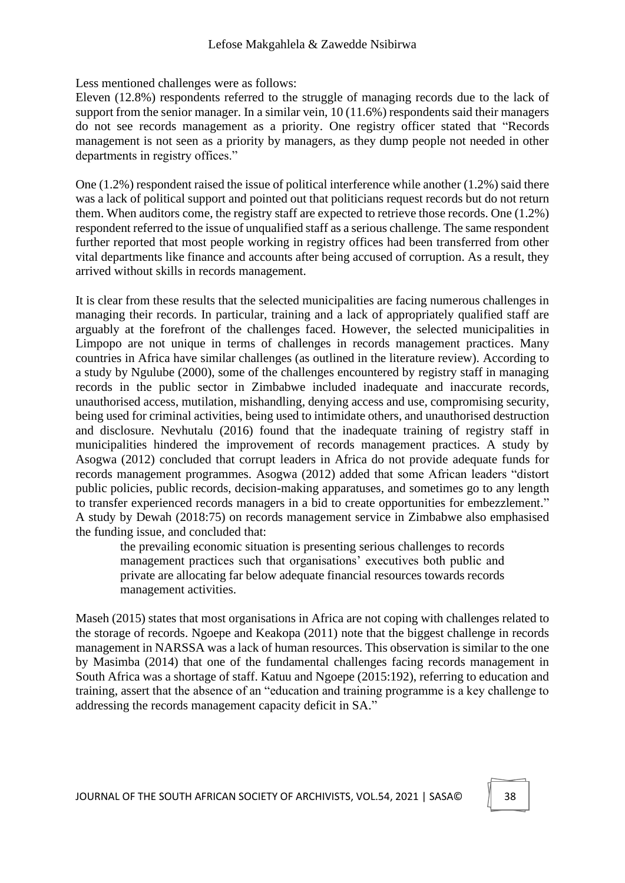Less mentioned challenges were as follows:

Eleven (12.8%) respondents referred to the struggle of managing records due to the lack of support from the senior manager. In a similar vein, 10 (11.6%) respondents said their managers do not see records management as a priority. One registry officer stated that "Records management is not seen as a priority by managers, as they dump people not needed in other departments in registry offices."

One  $(1.2\%)$  respondent raised the issue of political interference while another  $(1.2\%)$  said there was a lack of political support and pointed out that politicians request records but do not return them. When auditors come, the registry staff are expected to retrieve those records. One (1.2%) respondent referred to the issue of unqualified staff as a serious challenge. The same respondent further reported that most people working in registry offices had been transferred from other vital departments like finance and accounts after being accused of corruption. As a result, they arrived without skills in records management.

It is clear from these results that the selected municipalities are facing numerous challenges in managing their records. In particular, training and a lack of appropriately qualified staff are arguably at the forefront of the challenges faced. However, the selected municipalities in Limpopo are not unique in terms of challenges in records management practices. Many countries in Africa have similar challenges (as outlined in the literature review). According to a study by Ngulube (2000), some of the challenges encountered by registry staff in managing records in the public sector in Zimbabwe included inadequate and inaccurate records, unauthorised access, mutilation, mishandling, denying access and use, compromising security, being used for criminal activities, being used to intimidate others, and unauthorised destruction and disclosure. Nevhutalu (2016) found that the inadequate training of registry staff in municipalities hindered the improvement of records management practices. A study by Asogwa (2012) concluded that corrupt leaders in Africa do not provide adequate funds for records management programmes. Asogwa (2012) added that some African leaders "distort public policies, public records, decision-making apparatuses, and sometimes go to any length to transfer experienced records managers in a bid to create opportunities for embezzlement." A study by Dewah (2018:75) on records management service in Zimbabwe also emphasised the funding issue, and concluded that:

the prevailing economic situation is presenting serious challenges to records management practices such that organisations' executives both public and private are allocating far below adequate financial resources towards records management activities.

Maseh (2015) states that most organisations in Africa are not coping with challenges related to the storage of records. Ngoepe and Keakopa (2011) note that the biggest challenge in records management in NARSSA was a lack of human resources. This observation is similar to the one by Masimba (2014) that one of the fundamental challenges facing records management in South Africa was a shortage of staff. Katuu and Ngoepe (2015:192), referring to education and training, assert that the absence of an "education and training programme is a key challenge to addressing the records management capacity deficit in SA."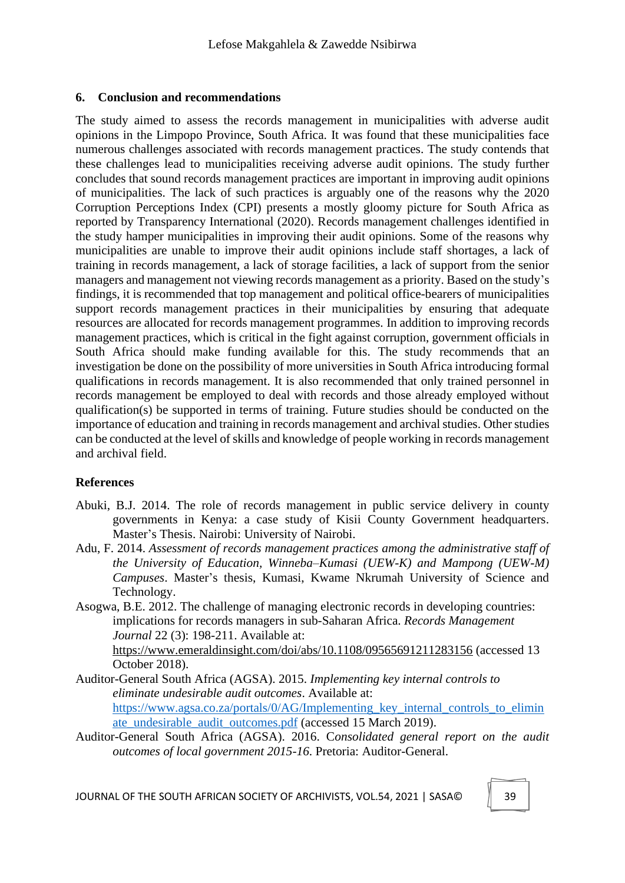#### **6. Conclusion and recommendations**

The study aimed to assess the records management in municipalities with adverse audit opinions in the Limpopo Province, South Africa. It was found that these municipalities face numerous challenges associated with records management practices. The study contends that these challenges lead to municipalities receiving adverse audit opinions. The study further concludes that sound records management practices are important in improving audit opinions of municipalities. The lack of such practices is arguably one of the reasons why the 2020 Corruption Perceptions Index (CPI) presents a mostly gloomy picture for South Africa as reported by Transparency International (2020). Records management challenges identified in the study hamper municipalities in improving their audit opinions. Some of the reasons why municipalities are unable to improve their audit opinions include staff shortages, a lack of training in records management, a lack of storage facilities, a lack of support from the senior managers and management not viewing records management as a priority. Based on the study's findings, it is recommended that top management and political office-bearers of municipalities support records management practices in their municipalities by ensuring that adequate resources are allocated for records management programmes. In addition to improving records management practices, which is critical in the fight against corruption, government officials in South Africa should make funding available for this. The study recommends that an investigation be done on the possibility of more universities in South Africa introducing formal qualifications in records management. It is also recommended that only trained personnel in records management be employed to deal with records and those already employed without qualification(s) be supported in terms of training. Future studies should be conducted on the importance of education and training in records management and archival studies. Other studies can be conducted at the level of skills and knowledge of people working in records management and archival field.

### **References**

- Abuki, B.J. 2014. The role of records management in public service delivery in county governments in Kenya: a case study of Kisii County Government headquarters. Master's Thesis. Nairobi: University of Nairobi.
- Adu, F. 2014. *Assessment of records management practices among the administrative staff of the University of Education, Winneba–Kumasi (UEW-K) and Mampong (UEW-M) Campuses*. Master's thesis, Kumasi, Kwame Nkrumah University of Science and Technology.
- Asogwa, B.E. 2012. The challenge of managing electronic records in developing countries: implications for records managers in sub-Saharan Africa. *Records Management Journal* 22 (3): 198-211. Available at:

https://www.emeraldinsight.com/doi/abs/10.1108/09565691211283156 (accessed 13 October 2018).

- Auditor-General South Africa (AGSA). 2015. *Implementing key internal controls to eliminate undesirable audit outcomes*. Available at: https://www.agsa.co.za/portals/0/AG/Implementing key internal controls to elimin [ate\\_undesirable\\_audit\\_outcomes.pdf](https://www.agsa.co.za/portals/0/AG/Implementing_key_internal_controls_to_eliminate_undesirable_audit_outcomes.pdf) (accessed 15 March 2019).
- Auditor-General South Africa (AGSA). 2016. C*onsolidated general report on the audit outcomes of local government 2015-16*. Pretoria: Auditor-General.

JOURNAL OF THE SOUTH AFRICAN SOCIETY OF ARCHIVISTS, VOL.54, 2021 | SASA© 39

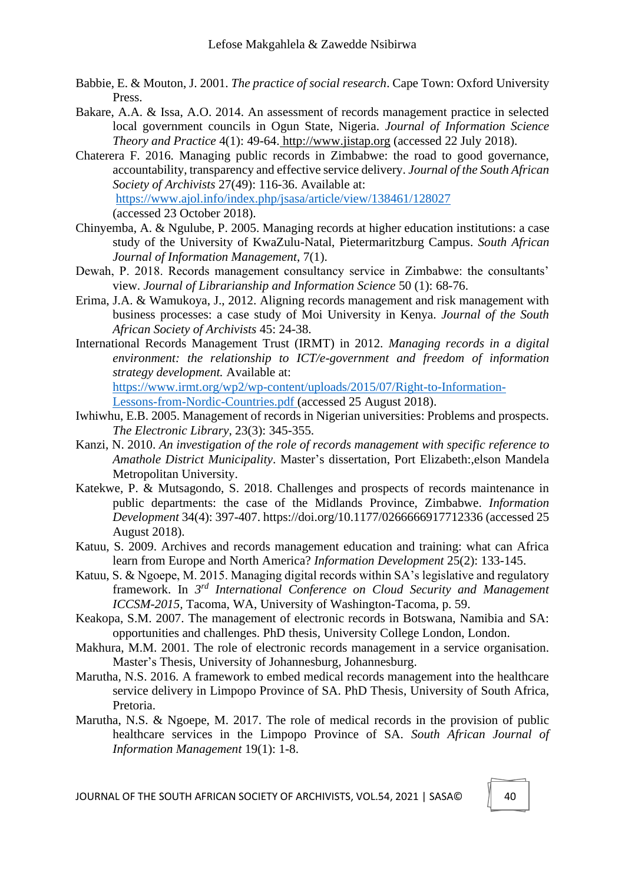- Babbie, E. & Mouton, J. 2001. *The practice of social research*. Cape Town: Oxford University Press.
- Bakare, A.A. & Issa, A.O. 2014. An assessment of records management practice in selected local government councils in Ogun State, Nigeria. *Journal of Information Science Theory and Practice* 4(1): 49-64. http://www.jistap.org (accessed 22 July 2018).
- Chaterera F. 2016. Managing public records in Zimbabwe: the road to good governance, accountability, transparency and effective service delivery. *Journal of the South African Society of Archivists* 27(49): 116-36. Available at: https://www.ajol.info/index.php/jsasa/article/view/138461/128027 (accessed 23 October 2018).
- Chinyemba, A. & Ngulube, P. 2005. Managing records at higher education institutions: a case study of the University of KwaZulu-Natal, Pietermaritzburg Campus. *South African Journal of Information Management*, 7(1).
- Dewah, P. 2018. Records management consultancy service in Zimbabwe: the consultants' view. *Journal of Librarianship and Information Science* 50 (1): 68-76.
- Erima, J.A. & Wamukoya, J., 2012. Aligning records management and risk management with business processes: a case study of Moi University in Kenya. *Journal of the South African Society of Archivists* 45: 24-38.
- International Records Management Trust (IRMT) in 2012. *Managing records in a digital environment: the relationship to ICT/e-government and freedom of information strategy development.* Available at: [https://www.irmt.org/wp2/wp-content/uploads/2015/07/Right-to-Information-](https://www.irmt.org/wp2/wp-content/uploads/2015/07/Right-to-Information-Lessons-from-Nordic-Countries.pdf%20(accessed%2025%20August%202018)

[Lessons-from-Nordic-Countries.pdf \(accessed 25 August 2018\)](https://www.irmt.org/wp2/wp-content/uploads/2015/07/Right-to-Information-Lessons-from-Nordic-Countries.pdf%20(accessed%2025%20August%202018).

- Iwhiwhu, E.B. 2005. Management of records in Nigerian universities: Problems and prospects. *The Electronic Library*, 23(3): 345-355.
- Kanzi, N. 2010. *An investigation of the role of records management with specific reference to Amathole District Municipality*. Master's dissertation, Port Elizabeth:,elson Mandela Metropolitan University.
- Katekwe, P. & Mutsagondo, S. 2018. Challenges and prospects of records maintenance in public departments: the case of the Midlands Province, Zimbabwe. *Information Development* 34(4): 397-407. https://doi.org/10.1177/0266666917712336 (accessed 25 August 2018).
- Katuu, S. 2009. Archives and records management education and training: what can Africa learn from Europe and North America? *Information Development* 25(2): 133-145.
- Katuu, S. & Ngoepe, M. 2015. Managing digital records within SA's legislative and regulatory framework. In *3 rd International Conference on Cloud Security and Management ICCSM-2015,* Tacoma, WA, University of Washington-Tacoma, p. 59.
- Keakopa, S.M. 2007. The management of electronic records in Botswana, Namibia and SA: opportunities and challenges. PhD thesis, University College London, London.
- Makhura, M.M. 2001. The role of electronic records management in a service organisation. Master's Thesis, University of Johannesburg, Johannesburg.
- Marutha, N.S. 2016. A framework to embed medical records management into the healthcare service delivery in Limpopo Province of SA. PhD Thesis, University of South Africa, Pretoria.
- Marutha, N.S. & Ngoepe, M. 2017. The role of medical records in the provision of public healthcare services in the Limpopo Province of SA. *South African Journal of Information Management* 19(1): 1-8.

JOURNAL OF THE SOUTH AFRICAN SOCIETY OF ARCHIVISTS, VOL.54, 2021 | SASA© 40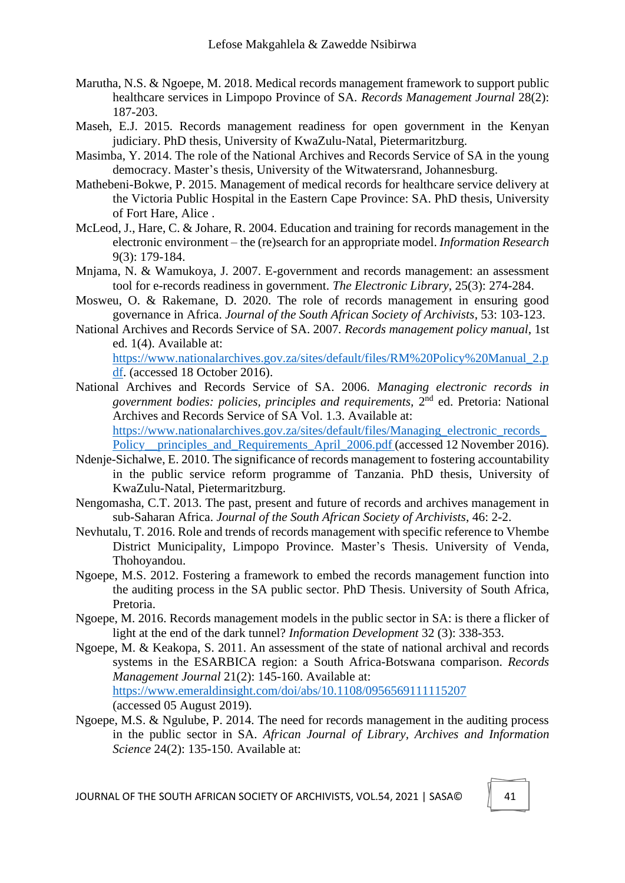- Marutha, N.S. & Ngoepe, M. 2018. Medical records management framework to support public healthcare services in Limpopo Province of SA. *Records Management Journal* 28(2): 187-203.
- Maseh, E.J. 2015. Records management readiness for open government in the Kenyan judiciary. PhD thesis, University of KwaZulu-Natal, Pietermaritzburg.
- Masimba, Y. 2014. The role of the National Archives and Records Service of SA in the young democracy. Master's thesis, University of the Witwatersrand, Johannesburg.
- Mathebeni-Bokwe, P. 2015. Management of medical records for healthcare service delivery at the Victoria Public Hospital in the Eastern Cape Province: SA. PhD thesis, University of Fort Hare, Alice .
- McLeod, J., Hare, C. & Johare, R. 2004. Education and training for records management in the electronic environment – the (re)search for an appropriate model. *Information Research* 9(3): 179-184.
- Mnjama, N. & Wamukoya, J. 2007. E-government and records management: an assessment tool for e-records readiness in government. *The Electronic Library*, 25(3): 274-284.
- Mosweu, O. & Rakemane, D. 2020. The role of records management in ensuring good governance in Africa. *Journal of the South African Society of Archivists*, 53: 103-123.
- National Archives and Records Service of SA. 2007*. Records management policy manual*, 1st ed. 1(4). Available at: https://www.nationalarchives.gov.za/sites/default/files/RM%20Policy%20Manual\_2.p df. (accessed 18 October 2016).
- National Archives and Records Service of SA. 2006. *Managing electronic records in*  government bodies: policies, principles and requirements, 2<sup>nd</sup> ed. Pretoria: National Archives and Records Service of SA Vol. 1.3. Available at: [https://www.nationalarchives.gov.za/sites/default/files/Managing\\_electronic\\_records\\_](https://www.nationalarchives.gov.za/sites/default/files/Managing_electronic_records_Policy__principles_and_Requirements_April_2006.pdf%20(accessed%2012%20November%202016) Policy\_principles\_and\_Requirements\_April\_2006.pdf (accessed 12 November 2016).
- Ndenje-Sichalwe, E. 2010. The significance of records management to fostering accountability in the public service reform programme of Tanzania. PhD thesis, University of KwaZulu-Natal, Pietermaritzburg.
- Nengomasha, C.T. 2013. The past, present and future of records and archives management in sub-Saharan Africa. *Journal of the South African Society of Archivists*, 46: 2-2.
- Nevhutalu, T. 2016. Role and trends of records management with specific reference to Vhembe District Municipality, Limpopo Province. Master's Thesis. University of Venda, Thohoyandou.
- Ngoepe, M.S. 2012. Fostering a framework to embed the records management function into the auditing process in the SA public sector. PhD Thesis. University of South Africa, Pretoria.
- Ngoepe, M. 2016. Records management models in the public sector in SA: is there a flicker of light at the end of the dark tunnel? *Information Development* 32 (3): 338-353.
- Ngoepe, M. & Keakopa, S. 2011. An assessment of the state of national archival and records systems in the ESARBICA region: a South Africa-Botswana comparison. *Records Management Journal* 21(2): 145-160. Available at: https://www.emeraldinsight.com/doi/abs/10.1108/0956569111115207 (accessed 05 August 2019).
- Ngoepe, M.S. & Ngulube, P. 2014. The need for records management in the auditing process in the public sector in SA. *African Journal of Library, Archives and Information Science* 24(2): 135-150. Available at: